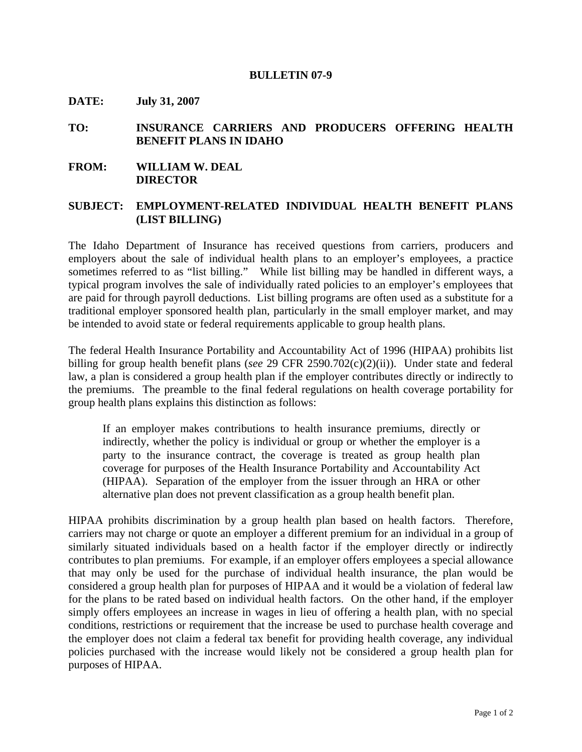## **BULLETIN 07-9**

**DATE: July 31, 2007** 

## **TO: INSURANCE CARRIERS AND PRODUCERS OFFERING HEALTH BENEFIT PLANS IN IDAHO**

## **FROM: WILLIAM W. DEAL DIRECTOR**

## **SUBJECT: EMPLOYMENT-RELATED INDIVIDUAL HEALTH BENEFIT PLANS (LIST BILLING)**

The Idaho Department of Insurance has received questions from carriers, producers and employers about the sale of individual health plans to an employer's employees, a practice sometimes referred to as "list billing." While list billing may be handled in different ways, a typical program involves the sale of individually rated policies to an employer's employees that are paid for through payroll deductions. List billing programs are often used as a substitute for a traditional employer sponsored health plan, particularly in the small employer market, and may be intended to avoid state or federal requirements applicable to group health plans.

The federal Health Insurance Portability and Accountability Act of 1996 (HIPAA) prohibits list billing for group health benefit plans (*see* 29 CFR 2590.702(c)(2)(ii)). Under state and federal law, a plan is considered a group health plan if the employer contributes directly or indirectly to the premiums. The preamble to the final federal regulations on health coverage portability for group health plans explains this distinction as follows:

If an employer makes contributions to health insurance premiums, directly or indirectly, whether the policy is individual or group or whether the employer is a party to the insurance contract, the coverage is treated as group health plan coverage for purposes of the Health Insurance Portability and Accountability Act (HIPAA). Separation of the employer from the issuer through an HRA or other alternative plan does not prevent classification as a group health benefit plan.

HIPAA prohibits discrimination by a group health plan based on health factors. Therefore, carriers may not charge or quote an employer a different premium for an individual in a group of similarly situated individuals based on a health factor if the employer directly or indirectly contributes to plan premiums. For example, if an employer offers employees a special allowance that may only be used for the purchase of individual health insurance, the plan would be considered a group health plan for purposes of HIPAA and it would be a violation of federal law for the plans to be rated based on individual health factors. On the other hand, if the employer simply offers employees an increase in wages in lieu of offering a health plan, with no special conditions, restrictions or requirement that the increase be used to purchase health coverage and the employer does not claim a federal tax benefit for providing health coverage, any individual policies purchased with the increase would likely not be considered a group health plan for purposes of HIPAA.